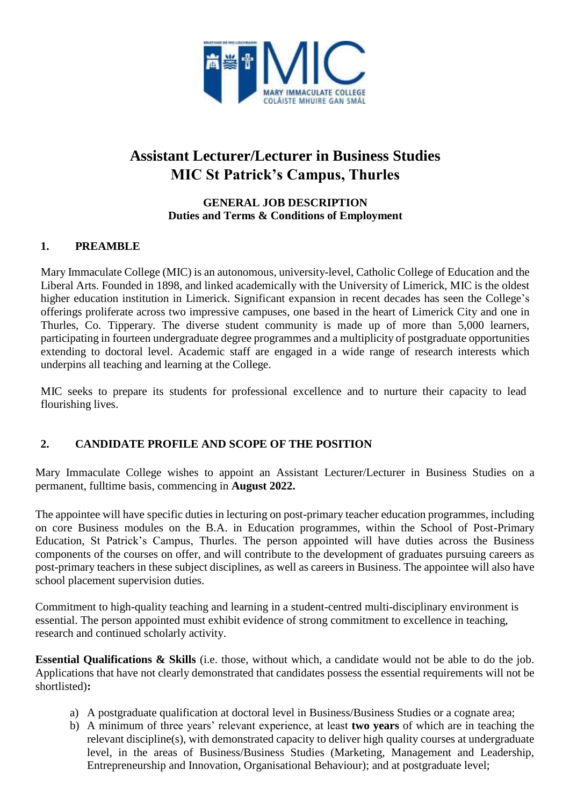

# **Assistant Lecturer/Lecturer in Business Studies MIC St Patrick's Campus, Thurles**

#### **GENERAL JOB DESCRIPTION Duties and Terms & Conditions of Employment**

## **1. PREAMBLE**

Mary Immaculate College (MIC) is an autonomous, university-level, Catholic College of Education and the Liberal Arts. Founded in 1898, and linked academically with the University of Limerick, MIC is the oldest higher education institution in Limerick. Significant expansion in recent decades has seen the College's offerings proliferate across two impressive campuses, one based in the heart of Limerick City and one in Thurles, Co. Tipperary. The diverse student community is made up of more than 5,000 learners, participating in fourteen undergraduate degree programmes and a multiplicity of postgraduate opportunities extending to doctoral level. Academic staff are engaged in a wide range of research interests which underpins all teaching and learning at the College.

MIC seeks to prepare its students for professional excellence and to nurture their capacity to lead flourishing lives.

## **2. CANDIDATE PROFILE AND SCOPE OF THE POSITION**

Mary Immaculate College wishes to appoint an Assistant Lecturer/Lecturer in Business Studies on a permanent, fulltime basis, commencing in **August 2022.**

The appointee will have specific duties in lecturing on post-primary teacher education programmes, including on core Business modules on the B.A. in Education programmes, within the School of Post-Primary Education, St Patrick's Campus, Thurles. The person appointed will have duties across the Business components of the courses on offer, and will contribute to the development of graduates pursuing careers as post-primary teachers in these subject disciplines, as well as careers in Business. The appointee will also have school placement supervision duties.

Commitment to high-quality teaching and learning in a student-centred multi-disciplinary environment is essential. The person appointed must exhibit evidence of strong commitment to excellence in teaching, research and continued scholarly activity.

**Essential Qualifications & Skills** (i.e. those, without which, a candidate would not be able to do the job. Applications that have not clearly demonstrated that candidates possess the essential requirements will not be shortlisted)**:**

- a) A postgraduate qualification at doctoral level in Business/Business Studies or a cognate area;
- b) A minimum of three years' relevant experience, at least **two years** of which are in teaching the relevant discipline(s), with demonstrated capacity to deliver high quality courses at undergraduate level, in the areas of Business/Business Studies (Marketing, Management and Leadership, Entrepreneurship and Innovation, Organisational Behaviour); and at postgraduate level;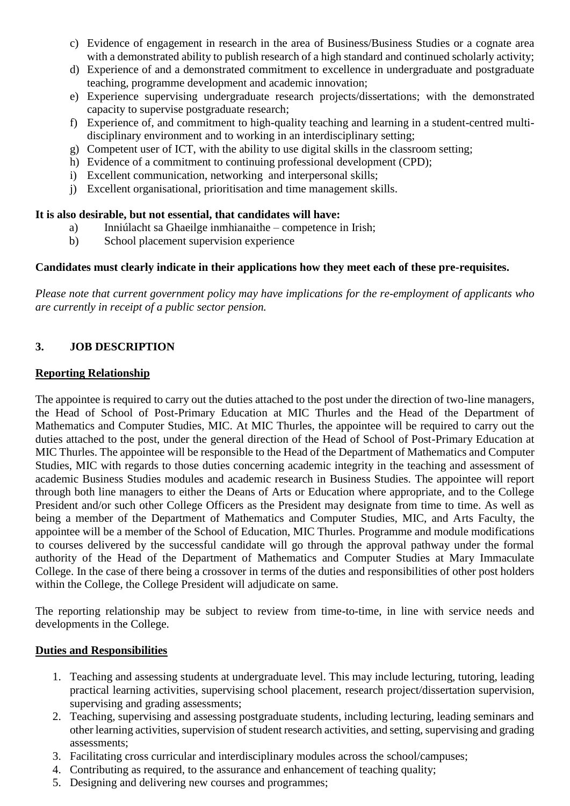- c) Evidence of engagement in research in the area of Business/Business Studies or a cognate area with a demonstrated ability to publish research of a high standard and continued scholarly activity;
- d) Experience of and a demonstrated commitment to excellence in undergraduate and postgraduate teaching, programme development and academic innovation;
- e) Experience supervising undergraduate research projects/dissertations; with the demonstrated capacity to supervise postgraduate research;
- f) Experience of, and commitment to high-quality teaching and learning in a student-centred multidisciplinary environment and to working in an interdisciplinary setting;
- g) Competent user of ICT, with the ability to use digital skills in the classroom setting;
- h) Evidence of a commitment to continuing professional development (CPD);
- i) Excellent communication, networking and interpersonal skills;
- j) Excellent organisational, prioritisation and time management skills.

#### **It is also desirable, but not essential, that candidates will have:**

- a) Inniúlacht sa Ghaeilge inmhianaithe competence in Irish;
- b) School placement supervision experience

#### **Candidates must clearly indicate in their applications how they meet each of these pre-requisites.**

*Please note that current government policy may have implications for the re-employment of applicants who are currently in receipt of a public sector pension.*

#### **3. JOB DESCRIPTION**

#### **Reporting Relationship**

The appointee is required to carry out the duties attached to the post under the direction of two-line managers, the Head of School of Post-Primary Education at MIC Thurles and the Head of the Department of Mathematics and Computer Studies, MIC. At MIC Thurles, the appointee will be required to carry out the duties attached to the post, under the general direction of the Head of School of Post-Primary Education at MIC Thurles. The appointee will be responsible to the Head of the Department of Mathematics and Computer Studies, MIC with regards to those duties concerning academic integrity in the teaching and assessment of academic Business Studies modules and academic research in Business Studies. The appointee will report through both line managers to either the Deans of Arts or Education where appropriate, and to the College President and/or such other College Officers as the President may designate from time to time. As well as being a member of the Department of Mathematics and Computer Studies, MIC, and Arts Faculty, the appointee will be a member of the School of Education, MIC Thurles. Programme and module modifications to courses delivered by the successful candidate will go through the approval pathway under the formal authority of the Head of the Department of Mathematics and Computer Studies at Mary Immaculate College. In the case of there being a crossover in terms of the duties and responsibilities of other post holders within the College, the College President will adjudicate on same.

The reporting relationship may be subject to review from time-to-time, in line with service needs and developments in the College.

#### **Duties and Responsibilities**

- 1. Teaching and assessing students at undergraduate level. This may include lecturing, tutoring, leading practical learning activities, supervising school placement, research project/dissertation supervision, supervising and grading assessments;
- 2. Teaching, supervising and assessing postgraduate students, including lecturing, leading seminars and other learning activities, supervision of student research activities, and setting, supervising and grading assessments;
- 3. Facilitating cross curricular and interdisciplinary modules across the school/campuses;
- 4. Contributing as required, to the assurance and enhancement of teaching quality;
- 5. Designing and delivering new courses and programmes;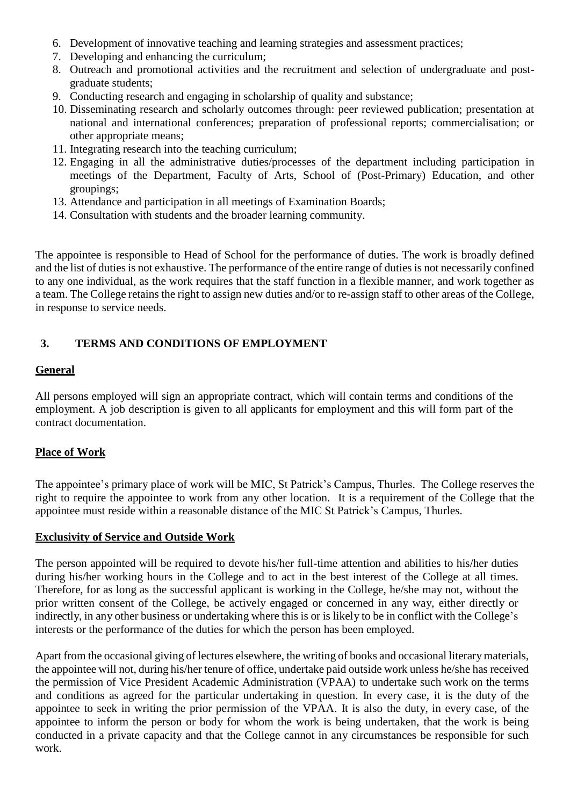- 6. Development of innovative teaching and learning strategies and assessment practices;
- 7. Developing and enhancing the curriculum;
- 8. Outreach and promotional activities and the recruitment and selection of undergraduate and postgraduate students;
- 9. Conducting research and engaging in scholarship of quality and substance;
- 10. Disseminating research and scholarly outcomes through: peer reviewed publication; presentation at national and international conferences; preparation of professional reports; commercialisation; or other appropriate means;
- 11. Integrating research into the teaching curriculum;
- 12. Engaging in all the administrative duties/processes of the department including participation in meetings of the Department, Faculty of Arts, School of (Post-Primary) Education, and other groupings;
- 13. Attendance and participation in all meetings of Examination Boards;
- 14. Consultation with students and the broader learning community.

The appointee is responsible to Head of School for the performance of duties. The work is broadly defined and the list of duties is not exhaustive. The performance of the entire range of duties is not necessarily confined to any one individual, as the work requires that the staff function in a flexible manner, and work together as a team. The College retains the right to assign new duties and/or to re-assign staff to other areas of the College, in response to service needs.

## **3. TERMS AND CONDITIONS OF EMPLOYMENT**

#### **General**

All persons employed will sign an appropriate contract, which will contain terms and conditions of the employment. A job description is given to all applicants for employment and this will form part of the contract documentation.

#### **Place of Work**

The appointee's primary place of work will be MIC, St Patrick's Campus, Thurles. The College reserves the right to require the appointee to work from any other location. It is a requirement of the College that the appointee must reside within a reasonable distance of the MIC St Patrick's Campus, Thurles.

#### **Exclusivity of Service and Outside Work**

The person appointed will be required to devote his/her full-time attention and abilities to his/her duties during his/her working hours in the College and to act in the best interest of the College at all times. Therefore, for as long as the successful applicant is working in the College, he/she may not, without the prior written consent of the College, be actively engaged or concerned in any way, either directly or indirectly, in any other business or undertaking where this is or is likely to be in conflict with the College's interests or the performance of the duties for which the person has been employed.

Apart from the occasional giving of lectures elsewhere, the writing of books and occasional literarymaterials, the appointee will not, during his/her tenure of office, undertake paid outside work unless he/she has received the permission of Vice President Academic Administration (VPAA) to undertake such work on the terms and conditions as agreed for the particular undertaking in question. In every case, it is the duty of the appointee to seek in writing the prior permission of the VPAA. It is also the duty, in every case, of the appointee to inform the person or body for whom the work is being undertaken, that the work is being conducted in a private capacity and that the College cannot in any circumstances be responsible for such work.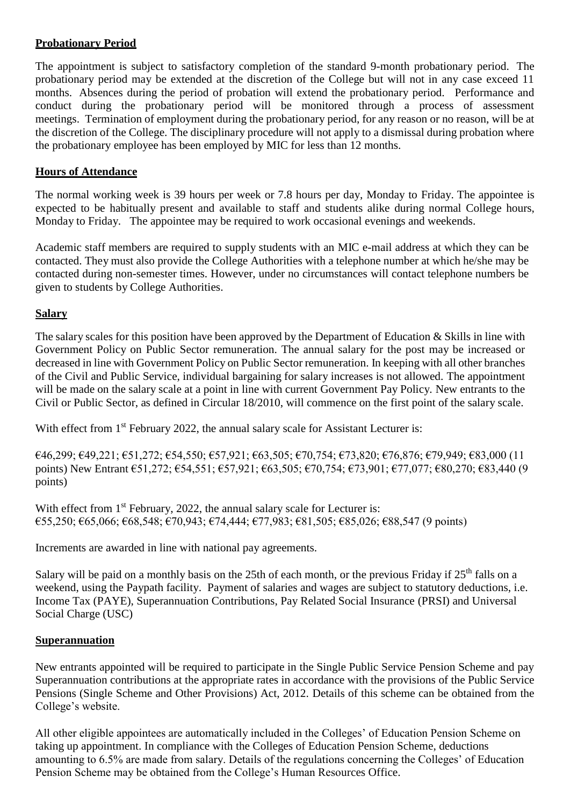## **Probationary Period**

The appointment is subject to satisfactory completion of the standard 9-month probationary period. The probationary period may be extended at the discretion of the College but will not in any case exceed 11 months. Absences during the period of probation will extend the probationary period. Performance and conduct during the probationary period will be monitored through a process of assessment meetings. Termination of employment during the probationary period, for any reason or no reason, will be at the discretion of the College. The disciplinary procedure will not apply to a dismissal during probation where the probationary employee has been employed by MIC for less than 12 months.

## **Hours of Attendance**

The normal working week is 39 hours per week or 7.8 hours per day, Monday to Friday. The appointee is expected to be habitually present and available to staff and students alike during normal College hours, Monday to Friday. The appointee may be required to work occasional evenings and weekends.

Academic staff members are required to supply students with an MIC e-mail address at which they can be contacted. They must also provide the College Authorities with a telephone number at which he/she may be contacted during non-semester times. However, under no circumstances will contact telephone numbers be given to students by College Authorities.

## **Salary**

The salary scales for this position have been approved by the Department of Education & Skills in line with Government Policy on Public Sector remuneration. The annual salary for the post may be increased or decreased in line with Government Policy on Public Sector remuneration. In keeping with all other branches of the Civil and Public Service, individual bargaining for salary increases is not allowed. The appointment will be made on the salary scale at a point in line with current Government Pay Policy. New entrants to the Civil or Public Sector, as defined in Circular 18/2010, will commence on the first point of the salary scale.

With effect from 1<sup>st</sup> February 2022, the annual salary scale for Assistant Lecturer is:

€46,299; €49,221; €51,272; €54,550; €57,921; €63,505; €70,754; €73,820; €76,876; €79,949; €83,000 (11 points) New Entrant €51,272; €54,551; €57,921; €63,505; €70,754; €73,901; €77,077; €80,270; €83,440 (9 points)

With effect from 1<sup>st</sup> February, 2022, the annual salary scale for Lecturer is:  $€55,250; €65,066; €68,548; €70,943; €74,444; €77,983; €81,505; €85,026; €88,547 (9 points)$ 

Increments are awarded in line with national pay agreements.

Salary will be paid on a monthly basis on the 25th of each month, or the previous Friday if  $25<sup>th</sup>$  falls on a weekend, using the Paypath facility. Payment of salaries and wages are subject to statutory deductions, i.e. Income Tax (PAYE), Superannuation Contributions, Pay Related Social Insurance (PRSI) and Universal Social Charge (USC)

#### **Superannuation**

New entrants appointed will be required to participate in the Single Public Service Pension Scheme and pay Superannuation contributions at the appropriate rates in accordance with the provisions of the Public Service Pensions (Single Scheme and Other Provisions) Act, 2012. Details of this scheme can be obtained from the College's website.

All other eligible appointees are automatically included in the Colleges' of Education Pension Scheme on taking up appointment. In compliance with the Colleges of Education Pension Scheme, deductions amounting to 6.5% are made from salary. Details of the regulations concerning the Colleges' of Education Pension Scheme may be obtained from the College's Human Resources Office.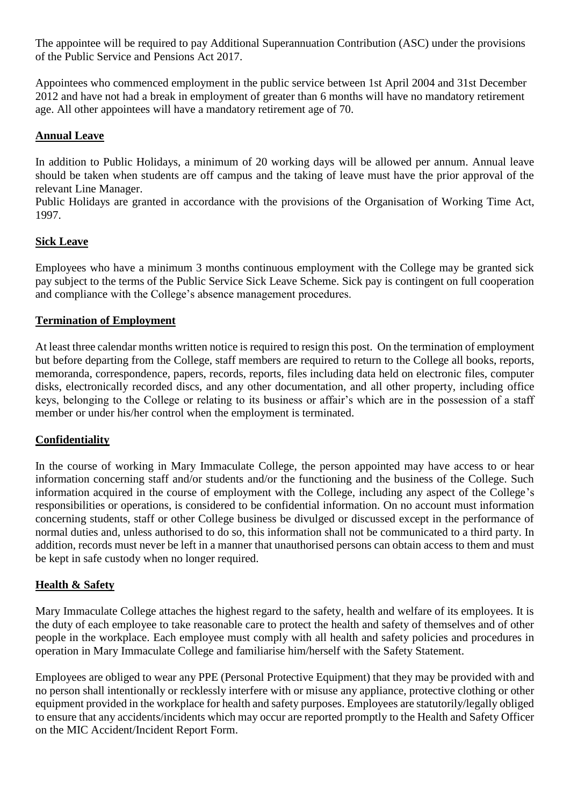The appointee will be required to pay Additional Superannuation Contribution (ASC) under the provisions of the Public Service and Pensions Act 2017.

Appointees who commenced employment in the public service between 1st April 2004 and 31st December 2012 and have not had a break in employment of greater than 6 months will have no mandatory retirement age. All other appointees will have a mandatory retirement age of 70.

#### **Annual Leave**

In addition to Public Holidays, a minimum of 20 working days will be allowed per annum. Annual leave should be taken when students are off campus and the taking of leave must have the prior approval of the relevant Line Manager.

Public Holidays are granted in accordance with the provisions of the Organisation of Working Time Act, 1997.

## **Sick Leave**

Employees who have a minimum 3 months continuous employment with the College may be granted sick pay subject to the terms of the Public Service Sick Leave Scheme. Sick pay is contingent on full cooperation and compliance with the College's absence management procedures.

#### **Termination of Employment**

At least three calendar months written notice is required to resign this post. On the termination of employment but before departing from the College, staff members are required to return to the College all books, reports, memoranda, correspondence, papers, records, reports, files including data held on electronic files, computer disks, electronically recorded discs, and any other documentation, and all other property, including office keys, belonging to the College or relating to its business or affair's which are in the possession of a staff member or under his/her control when the employment is terminated.

#### **Confidentiality**

In the course of working in Mary Immaculate College, the person appointed may have access to or hear information concerning staff and/or students and/or the functioning and the business of the College. Such information acquired in the course of employment with the College, including any aspect of the College's responsibilities or operations, is considered to be confidential information. On no account must information concerning students, staff or other College business be divulged or discussed except in the performance of normal duties and, unless authorised to do so, this information shall not be communicated to a third party. In addition, records must never be left in a manner that unauthorised persons can obtain access to them and must be kept in safe custody when no longer required.

#### **Health & Safety**

Mary Immaculate College attaches the highest regard to the safety, health and welfare of its employees. It is the duty of each employee to take reasonable care to protect the health and safety of themselves and of other people in the workplace. Each employee must comply with all health and safety policies and procedures in operation in Mary Immaculate College and familiarise him/herself with the Safety Statement.

Employees are obliged to wear any PPE (Personal Protective Equipment) that they may be provided with and no person shall intentionally or recklessly interfere with or misuse any appliance, protective clothing or other equipment provided in the workplace for health and safety purposes. Employees are statutorily/legally obliged to ensure that any accidents/incidents which may occur are reported promptly to the Health and Safety Officer on the MIC Accident/Incident Report Form.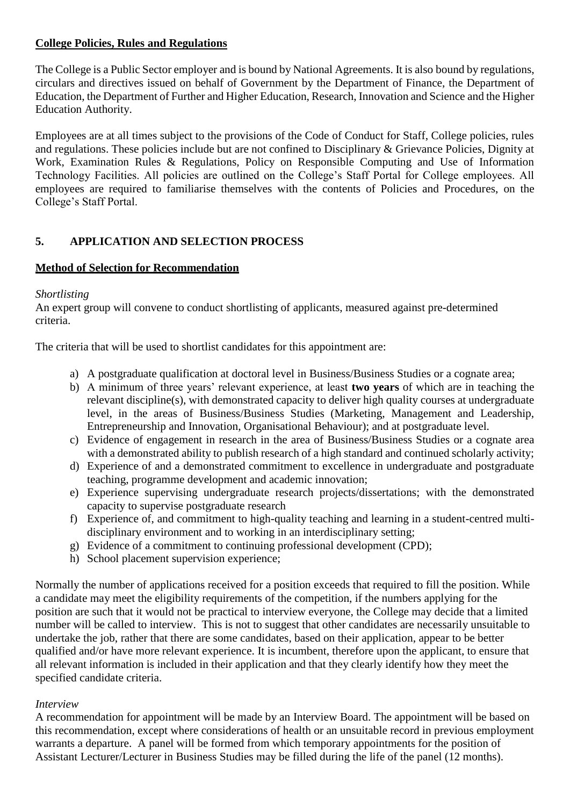## **College Policies, Rules and Regulations**

The College is a Public Sector employer and is bound by National Agreements. It is also bound by regulations, circulars and directives issued on behalf of Government by the Department of Finance, the Department of Education, the Department of Further and Higher Education, Research, Innovation and Science and the Higher Education Authority.

Employees are at all times subject to the provisions of the Code of Conduct for Staff, College policies, rules and regulations. These policies include but are not confined to Disciplinary & Grievance Policies, Dignity at Work, Examination Rules & Regulations, Policy on Responsible Computing and Use of Information Technology Facilities. All policies are outlined on the College's Staff Portal for College employees. All employees are required to familiarise themselves with the contents of Policies and Procedures, on the College's Staff Portal.

# **5. APPLICATION AND SELECTION PROCESS**

## **Method of Selection for Recommendation**

#### *Shortlisting*

An expert group will convene to conduct shortlisting of applicants, measured against pre-determined criteria.

The criteria that will be used to shortlist candidates for this appointment are:

- a) A postgraduate qualification at doctoral level in Business/Business Studies or a cognate area;
- b) A minimum of three years' relevant experience, at least **two years** of which are in teaching the relevant discipline(s), with demonstrated capacity to deliver high quality courses at undergraduate level, in the areas of Business/Business Studies (Marketing, Management and Leadership, Entrepreneurship and Innovation, Organisational Behaviour); and at postgraduate level.
- c) Evidence of engagement in research in the area of Business/Business Studies or a cognate area with a demonstrated ability to publish research of a high standard and continued scholarly activity;
- d) Experience of and a demonstrated commitment to excellence in undergraduate and postgraduate teaching, programme development and academic innovation;
- e) Experience supervising undergraduate research projects/dissertations; with the demonstrated capacity to supervise postgraduate research
- f) Experience of, and commitment to high-quality teaching and learning in a student-centred multidisciplinary environment and to working in an interdisciplinary setting;
- g) Evidence of a commitment to continuing professional development (CPD);
- h) School placement supervision experience;

Normally the number of applications received for a position exceeds that required to fill the position. While a candidate may meet the eligibility requirements of the competition, if the numbers applying for the position are such that it would not be practical to interview everyone, the College may decide that a limited number will be called to interview. This is not to suggest that other candidates are necessarily unsuitable to undertake the job, rather that there are some candidates, based on their application, appear to be better qualified and/or have more relevant experience. It is incumbent, therefore upon the applicant, to ensure that all relevant information is included in their application and that they clearly identify how they meet the specified candidate criteria.

#### *Interview*

A recommendation for appointment will be made by an Interview Board. The appointment will be based on this recommendation, except where considerations of health or an unsuitable record in previous employment warrants a departure. A panel will be formed from which temporary appointments for the position of Assistant Lecturer/Lecturer in Business Studies may be filled during the life of the panel (12 months).